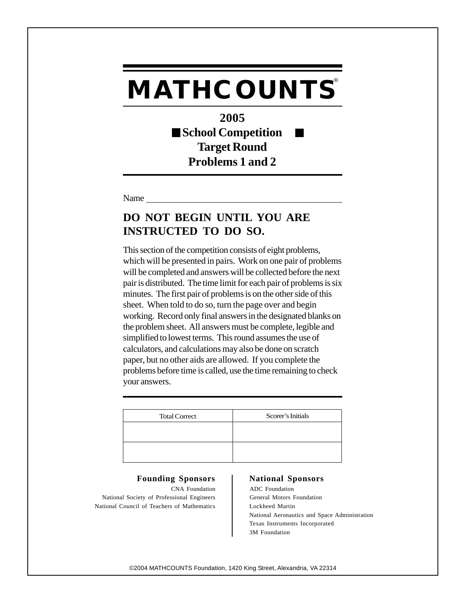**2005 School Competition Target Round Problems 1 and 2**

Name

## **DO NOT BEGIN UNTIL YOU ARE INSTRUCTED TO DO SO.**

This section of the competition consists of eight problems, which will be presented in pairs. Work on one pair of problems will be completed and answers will be collected before the next pair is distributed. The time limit for each pair of problems is six minutes. The first pair of problems is on the other side of this sheet. When told to do so, turn the page over and begin working. Record only final answers in the designated blanks on the problem sheet. All answers must be complete, legible and simplified to lowest terms. This round assumes the use of calculators, and calculations may also be done on scratch paper, but no other aids are allowed. If you complete the problems before time is called, use the time remaining to check your answers.

| <b>Total Correct</b> | Scorer's Initials |
|----------------------|-------------------|
|                      |                   |
|                      |                   |
|                      |                   |
|                      |                   |

### Founding Sponsors | National Sponsors

CNA Foundation ADC Foundation National Society of Professional Engineers General Motors Foundation National Council of Teachers of Mathematics | Lockheed Martin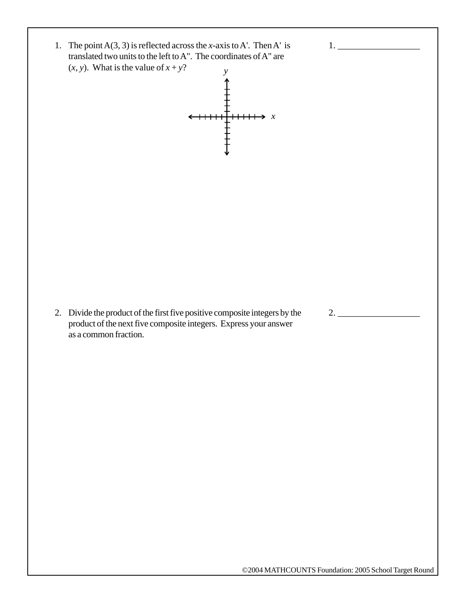1. The point  $A(3, 3)$  is reflected across the *x*-axis to A'. Then A' is translated two units to the left to A". The coordinates of A" are  $(x, y)$ . What is the value of  $x + y$ ? *y*



2. Divide the product of the first five positive composite integers by the product of the next five composite integers. Express your answer as a common fraction.

1. \_\_\_\_\_\_\_\_\_\_\_\_\_\_\_\_\_\_

2. \_\_\_\_\_\_\_\_\_\_\_\_\_\_\_\_\_\_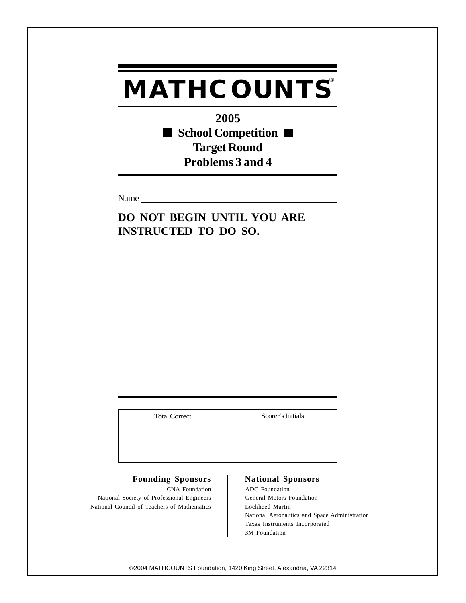**2005** ■ School Competition ■ **Target Round Problems 3 and 4**

Name

**DO NOT BEGIN UNTIL YOU ARE INSTRUCTED TO DO SO.**

| <b>Total Correct</b> | Scorer's Initials |
|----------------------|-------------------|
|                      |                   |
|                      |                   |
|                      |                   |
|                      |                   |

### Founding Sponsors | National Sponsors

CNA Foundation ADC Foundation National Society of Professional Engineers General Motors Foundation National Council of Teachers of Mathematics Lockheed Martin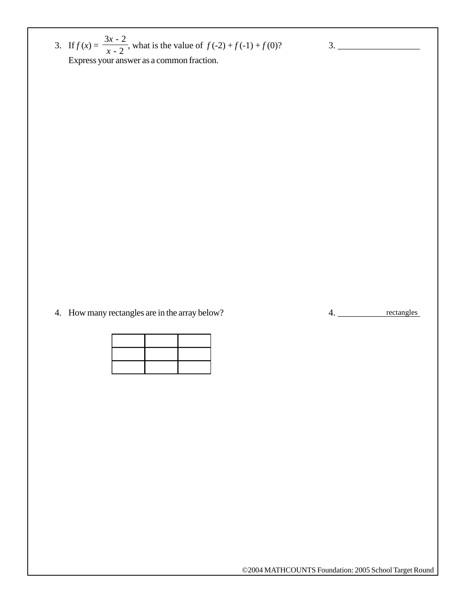3. If  $f(x) = \frac{5x^2 - 2}{2}$ , what is the value of  $f(-2) + f(-1) + f(0)$ ? Express your answer as a common fraction. 3*x* - 2 *x* - 2

4. How many rectangles are in the array below?

4. \_\_\_\_\_\_\_\_\_\_\_\_\_\_\_\_\_\_ rectangles

3. \_\_\_\_\_\_\_\_\_\_\_\_\_\_\_\_\_\_

©2004 MATHCOUNTS Foundation: 2005 School Target Round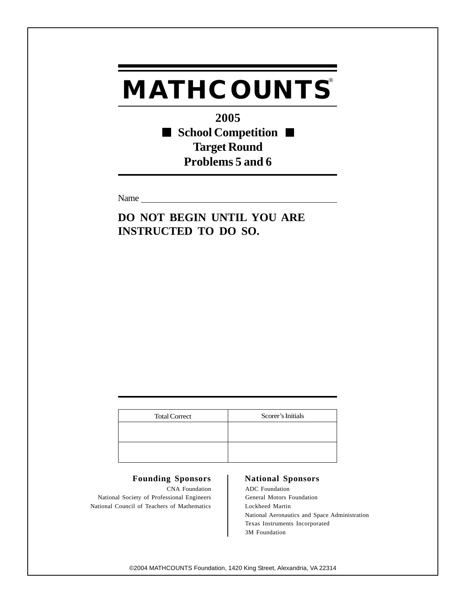**2005** ■ School Competition ■ **Target Round Problems 5 and 6**

Name

**DO NOT BEGIN UNTIL YOU ARE INSTRUCTED TO DO SO.**

| <b>Total Correct</b> | Scorer's Initials |
|----------------------|-------------------|
|                      |                   |
|                      |                   |
|                      |                   |
|                      |                   |

### Founding Sponsors | National Sponsors

CNA Foundation ADC Foundation National Society of Professional Engineers General Motors Foundation National Council of Teachers of Mathematics | Lockheed Martin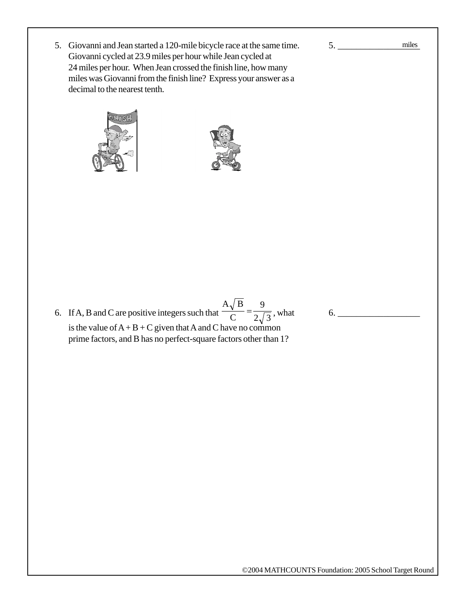5. Giovanni and Jean started a 120-mile bicycle race at the same time. Giovanni cycled at 23.9 miles per hour while Jean cycled at 24 miles per hour. When Jean crossed the finish line, how many miles was Giovanni from the finish line? Express your answer as a decimal to the nearest tenth.





6. If A, B and C are positive integers such that  $\frac{A\sqrt{B}}{C} = \frac{9}{2\sqrt{3}}$ , what is the value of  $A + B + C$  given that A and C have no common prime factors, and B has no perfect-square factors other than 1?

6. \_\_\_\_\_\_\_\_\_\_\_\_\_\_\_\_\_\_

5. \_\_\_\_\_\_\_\_\_\_\_\_\_\_\_\_\_\_

miles

©2004 MATHCOUNTS Foundation: 2005 School Target Round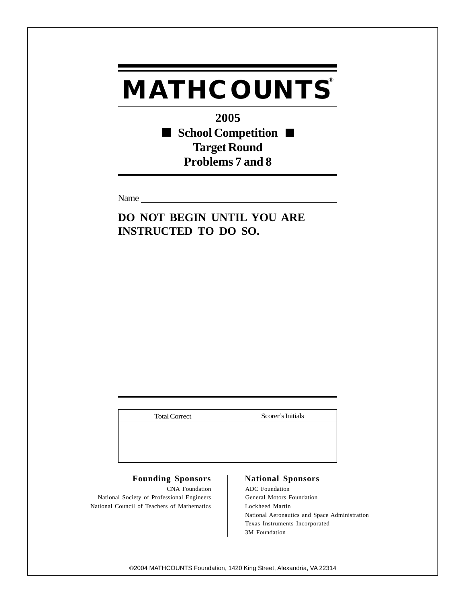**2005** ■ School Competition ■ **Target Round Problems 7 and 8**

Name

**DO NOT BEGIN UNTIL YOU ARE INSTRUCTED TO DO SO.**

| <b>Total Correct</b> | Scorer's Initials |
|----------------------|-------------------|
|                      |                   |
|                      |                   |
|                      |                   |
|                      |                   |

### Founding Sponsors | National Sponsors

CNA Foundation ADC Foundation National Society of Professional Engineers General Motors Foundation National Council of Teachers of Mathematics | Lockheed Martin